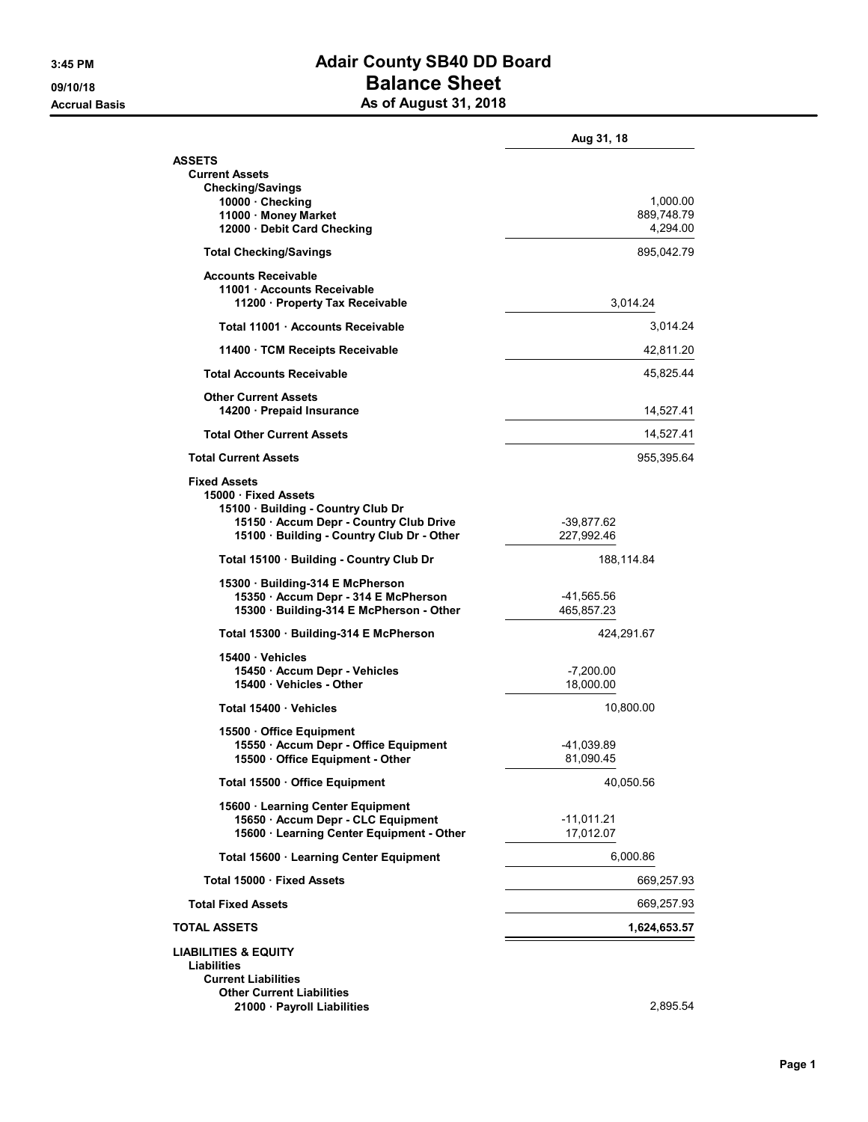## 3:45 PM **Adair County SB40 DD Board** 09/10/18 09/10/18 Accrual Basis **Accrual Basis** As of August 31, 2018

|                                                                                                                                                                          | Aug 31, 18                         |
|--------------------------------------------------------------------------------------------------------------------------------------------------------------------------|------------------------------------|
| <b>ASSETS</b><br><b>Current Assets</b><br><b>Checking/Savings</b>                                                                                                        |                                    |
| 10000 · Checking<br>11000 · Money Market<br>12000 · Debit Card Checking                                                                                                  | 1,000.00<br>889,748.79<br>4,294.00 |
| <b>Total Checking/Savings</b>                                                                                                                                            | 895,042.79                         |
| <b>Accounts Receivable</b><br>11001 · Accounts Receivable<br>11200 · Property Tax Receivable                                                                             | 3,014.24                           |
| Total 11001 Accounts Receivable                                                                                                                                          | 3,014.24                           |
| 11400 · TCM Receipts Receivable                                                                                                                                          | 42,811.20                          |
| <b>Total Accounts Receivable</b>                                                                                                                                         | 45,825.44                          |
| <b>Other Current Assets</b><br>14200 · Prepaid Insurance                                                                                                                 | 14,527.41                          |
| <b>Total Other Current Assets</b>                                                                                                                                        | 14,527.41                          |
| <b>Total Current Assets</b>                                                                                                                                              | 955,395.64                         |
| <b>Fixed Assets</b><br>15000 Fixed Assets<br>15100 · Building - Country Club Dr<br>15150 · Accum Depr - Country Club Drive<br>15100 · Building - Country Club Dr - Other | -39,877.62<br>227,992.46           |
| Total 15100 Building - Country Club Dr                                                                                                                                   | 188,114.84                         |
| 15300 · Building-314 E McPherson<br>15350 · Accum Depr - 314 E McPherson<br>15300 · Building-314 E McPherson - Other                                                     | -41,565.56<br>465,857.23           |
| Total 15300 · Building-314 E McPherson                                                                                                                                   | 424,291.67                         |
| 15400 Vehicles<br>15450 · Accum Depr - Vehicles<br>15400 · Vehicles - Other                                                                                              | $-7,200.00$<br>18,000.00           |
| Total 15400 Vehicles                                                                                                                                                     | 10,800.00                          |
| 15500 Office Equipment<br>15550 · Accum Depr - Office Equipment<br>15500 · Office Equipment - Other                                                                      | -41,039.89<br>81,090.45            |
| Total 15500 Office Equipment                                                                                                                                             | 40,050.56                          |
| 15600 · Learning Center Equipment<br>15650 · Accum Depr - CLC Equipment<br>15600 · Learning Center Equipment - Other                                                     | $-11,011.21$<br>17,012.07          |
| Total 15600 · Learning Center Equipment                                                                                                                                  | 6,000.86                           |
| Total 15000 · Fixed Assets                                                                                                                                               | 669,257.93                         |
| <b>Total Fixed Assets</b>                                                                                                                                                | 669,257.93                         |
| <b>TOTAL ASSETS</b>                                                                                                                                                      | 1,624,653.57                       |
| <b>LIABILITIES &amp; EQUITY</b><br>Liabilities<br><b>Current Liabilities</b><br><b>Other Current Liabilities</b><br>21000 · Payroll Liabilities                          | 2,895.54                           |